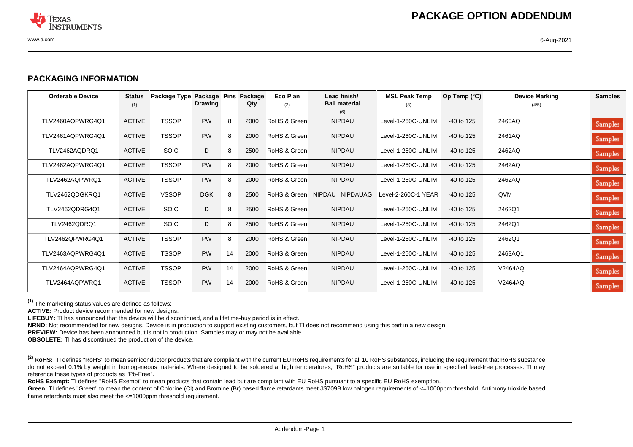

## **PACKAGING INFORMATION**

| <b>Orderable Device</b> | <b>Status</b><br>(1) | Package Type Package Pins | <b>Drawing</b> |    | Package<br>Qty | Eco Plan<br>(2) | Lead finish/<br><b>Ball material</b><br>(6) | <b>MSL Peak Temp</b><br>(3) | Op Temp $(°C)$ | <b>Device Marking</b><br>(4/5) | <b>Samples</b> |
|-------------------------|----------------------|---------------------------|----------------|----|----------------|-----------------|---------------------------------------------|-----------------------------|----------------|--------------------------------|----------------|
| TLV2460AQPWRG4Q1        | <b>ACTIVE</b>        | <b>TSSOP</b>              | <b>PW</b>      | 8  | 2000           | RoHS & Green    | <b>NIPDAU</b>                               | Level-1-260C-UNLIM          | $-40$ to 125   | 2460AQ                         | Samples        |
| TLV2461AQPWRG4Q1        | <b>ACTIVE</b>        | <b>TSSOP</b>              | <b>PW</b>      | 8  | 2000           | RoHS & Green    | <b>NIPDAU</b>                               | Level-1-260C-UNLIM          | $-40$ to 125   | 2461AQ                         | Samples        |
| TLV2462AQDRQ1           | <b>ACTIVE</b>        | <b>SOIC</b>               | D              | 8  | 2500           | RoHS & Green    | <b>NIPDAU</b>                               | Level-1-260C-UNLIM          | $-40$ to 125   | 2462AQ                         | Samples        |
| TLV2462AQPWRG4Q1        | <b>ACTIVE</b>        | <b>TSSOP</b>              | <b>PW</b>      | 8  | 2000           | RoHS & Green    | <b>NIPDAU</b>                               | Level-1-260C-UNLIM          | $-40$ to 125   | 2462AQ                         | Samples        |
| TLV2462AQPWRQ1          | <b>ACTIVE</b>        | <b>TSSOP</b>              | <b>PW</b>      | 8  | 2000           | RoHS & Green    | <b>NIPDAU</b>                               | Level-1-260C-UNLIM          | $-40$ to 125   | 2462AQ                         | Samples        |
| TLV2462QDGKRQ1          | <b>ACTIVE</b>        | <b>VSSOP</b>              | <b>DGK</b>     | 8  | 2500           |                 | RoHS & Green NIPDAU   NIPDAUAG              | Level-2-260C-1 YEAR         | $-40$ to 125   | QVM                            | Samples        |
| <b>TLV2462QDRG4Q1</b>   | <b>ACTIVE</b>        | <b>SOIC</b>               | D              | 8  | 2500           | RoHS & Green    | <b>NIPDAU</b>                               | Level-1-260C-UNLIM          | $-40$ to 125   | 2462Q1                         | Samples        |
| TLV2462QDRQ1            | <b>ACTIVE</b>        | <b>SOIC</b>               | D              | 8  | 2500           | RoHS & Green    | <b>NIPDAU</b>                               | Level-1-260C-UNLIM          | $-40$ to 125   | 2462Q1                         | Samples        |
| TLV2462QPWRG4Q1         | <b>ACTIVE</b>        | <b>TSSOP</b>              | <b>PW</b>      | 8  | 2000           | RoHS & Green    | <b>NIPDAU</b>                               | Level-1-260C-UNLIM          | $-40$ to 125   | 2462Q1                         | Samples        |
| TLV2463AQPWRG4Q1        | <b>ACTIVE</b>        | <b>TSSOP</b>              | <b>PW</b>      | 14 | 2000           | RoHS & Green    | <b>NIPDAU</b>                               | Level-1-260C-UNLIM          | $-40$ to 125   | 2463AQ1                        | Samples        |
| TLV2464AQPWRG4Q1        | <b>ACTIVE</b>        | <b>TSSOP</b>              | <b>PW</b>      | 14 | 2000           | RoHS & Green    | <b>NIPDAU</b>                               | Level-1-260C-UNLIM          | $-40$ to 125   | V2464AQ                        | Samples        |
| TLV2464AQPWRQ1          | <b>ACTIVE</b>        | <b>TSSOP</b>              | <b>PW</b>      | 14 | 2000           | RoHS & Green    | <b>NIPDAU</b>                               | Level-1-260C-UNLIM          | $-40$ to 125   | V2464AQ                        | Samples        |

**(1)** The marketing status values are defined as follows:

**ACTIVE:** Product device recommended for new designs.

**LIFEBUY:** TI has announced that the device will be discontinued, and a lifetime-buy period is in effect.

**NRND:** Not recommended for new designs. Device is in production to support existing customers, but TI does not recommend using this part in a new design.

**PREVIEW:** Device has been announced but is not in production. Samples may or may not be available.

**OBSOLETE:** TI has discontinued the production of the device.

<sup>(2)</sup> RoHS: TI defines "RoHS" to mean semiconductor products that are compliant with the current EU RoHS requirements for all 10 RoHS substances, including the requirement that RoHS substance do not exceed 0.1% by weight in homogeneous materials. Where designed to be soldered at high temperatures, "RoHS" products are suitable for use in specified lead-free processes. TI may reference these types of products as "Pb-Free".

RoHS Exempt: TI defines "RoHS Exempt" to mean products that contain lead but are compliant with EU RoHS pursuant to a specific EU RoHS exemption.

Green: TI defines "Green" to mean the content of Chlorine (CI) and Bromine (Br) based flame retardants meet JS709B low halogen requirements of <=1000ppm threshold. Antimony trioxide based flame retardants must also meet the <=1000ppm threshold requirement.